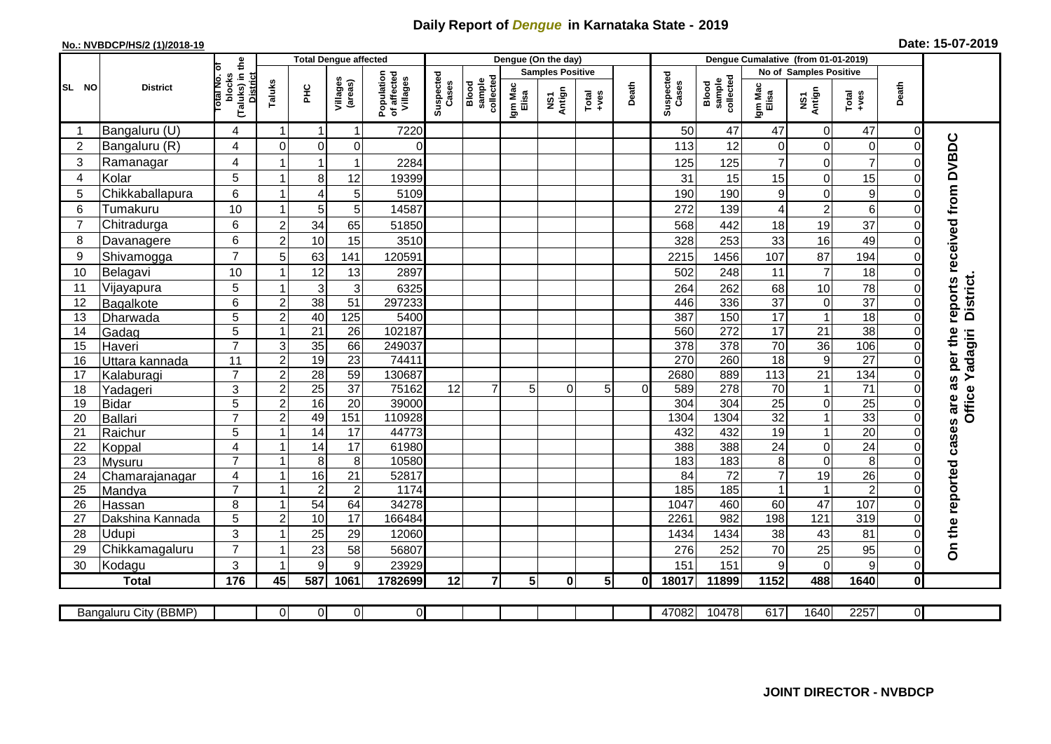## **Daily Report of** *Dengue* **in Karnataka State - 2019**

## **No.: NVBDCP/HS/2 (1)/2018-19 Date: 15-07-2019**

|                |                            |                                                              |                         | <b>Total Dengue affected</b> |                     |                                       |                    |                              |                  | Dengue (On the day)     |                |          |                    |                              |                     |                                 |                      |                |                             |
|----------------|----------------------------|--------------------------------------------------------------|-------------------------|------------------------------|---------------------|---------------------------------------|--------------------|------------------------------|------------------|-------------------------|----------------|----------|--------------------|------------------------------|---------------------|---------------------------------|----------------------|----------------|-----------------------------|
|                |                            |                                                              |                         |                              |                     |                                       |                    |                              |                  | <b>Samples Positive</b> |                |          |                    |                              |                     | No of Samples Positive          |                      |                |                             |
| SL NO          | <b>District</b>            | (Taluks) in the<br>lotal No. ol<br>blocks<br><b>District</b> | Taluks                  | ŦЕ                           | Villages<br>(areas) | Population<br>of affected<br>Villages | Suspected<br>Cases | collected<br>sample<br>Blood | Igm Mac<br>Elisa | NS1<br>Antign           | Total<br>+ves  | Death    | Suspected<br>Cases | sample<br>collected<br>Blood | Igm Mac<br>Elisa    | NS1<br>Antign                   | Total<br>+ves        | Death          |                             |
| -1             | Bangaluru (U)              | 4                                                            | $\mathbf 1$             | -1                           | $\mathbf 1$         | 7220                                  |                    |                              |                  |                         |                |          | 50                 | 47                           | 47                  | $\overline{0}$                  | 47                   | $\Omega$       |                             |
| 2              | Bangaluru (R)              | 4                                                            | $\Omega$                | 0                            | $\Omega$            | 0                                     |                    |                              |                  |                         |                |          | 113                | 12                           | 0                   | $\mathbf 0$                     | $\mathbf 0$          | $\Omega$       |                             |
| 3              | Ramanagar                  | 4                                                            |                         |                              | 1                   | 2284                                  |                    |                              |                  |                         |                |          | 125                | 125                          | $\overline{7}$      | $\mathbf 0$                     | $\overline{7}$       |                | reports received from DVBDC |
| 4              | Kolar                      | 5                                                            | 1                       | 8 <sup>1</sup>               | 12                  | 19399                                 |                    |                              |                  |                         |                |          | 31                 | 15                           | 15                  | $\overline{0}$                  | 15                   | $\overline{O}$ |                             |
| 5              | Chikkaballapura            | 6                                                            | -1                      | 4                            | 5                   | 5109                                  |                    |                              |                  |                         |                |          | 190                | 190                          | 9                   | $\overline{0}$                  | $\boldsymbol{9}$     | 0              |                             |
| 6              | Tumakuru                   | 10                                                           | -1                      | 5 <sub>l</sub>               | 5                   | 14587                                 |                    |                              |                  |                         |                |          | 272                | 139                          | 4                   | $\overline{c}$                  | $6\phantom{1}6$      | 0              |                             |
| $\overline{7}$ | Chitradurga                | 6                                                            | $\overline{c}$          | 34                           | 65                  | 51850                                 |                    |                              |                  |                         |                |          | 568                | 442                          | 18                  | 19                              | 37                   | $\Omega$       |                             |
| 8              | Davanagere                 | 6                                                            | $\overline{c}$          | 10                           | 15                  | 3510                                  |                    |                              |                  |                         |                |          | 328                | 253                          | 33                  | 16                              | 49                   | $\Omega$       |                             |
| 9              | Shivamogga                 | $\overline{7}$                                               | 5                       | 63                           | 141                 | 120591                                |                    |                              |                  |                         |                |          | 2215               | 1456                         | 107                 | 87                              | 194                  |                |                             |
| 10             | Belagavi                   | 10                                                           |                         | 12                           | 13                  | 2897                                  |                    |                              |                  |                         |                |          | 502                | 248                          | 11                  | $\overline{7}$                  | 18                   |                |                             |
| 11             | Vijayapura                 | 5                                                            |                         | $\mathbf{3}$                 | 3                   | 6325                                  |                    |                              |                  |                         |                |          | 264                | 262                          | 68                  | 10                              | 78                   | 0              | <b>District</b>             |
| 12             | Bagalkote                  | 6                                                            | $\boldsymbol{2}$        | 38                           | $\overline{51}$     | 297233                                |                    |                              |                  |                         |                |          | 446                | 336                          | $\overline{37}$     | $\overline{0}$                  | $\overline{37}$      | $\Omega$       |                             |
| 13             | Dharwada                   | $\overline{5}$                                               | $\overline{c}$          | 40                           | 125                 | 5400                                  |                    |                              |                  |                         |                |          | 387                | 150                          | 17                  | $\mathbf{1}$                    | 18                   | $\Omega$       |                             |
| 14             | Gadag                      | $\overline{5}$                                               | -1                      | 21                           | $\overline{26}$     | 102187                                |                    |                              |                  |                         |                |          | 560                | 272                          | $\overline{17}$     | $\overline{21}$                 | 38                   | $\Omega$       |                             |
| 15             | Haveri                     | $\overline{7}$                                               | 3                       | 35                           | 66                  | 249037                                |                    |                              |                  |                         |                |          | 378                | 378                          | $\overline{70}$     | 36                              | 106                  | 0              |                             |
| 16             | Uttara kannada             | 11                                                           | $\overline{a}$          | 19                           | $\overline{23}$     | 74411                                 |                    |                              |                  |                         |                |          | 270                | 260                          | $\overline{18}$     | $\overline{9}$                  | $\overline{27}$      | $\Omega$       | as per the<br>Yadagiri      |
| 17             | Kalaburagi                 | $\overline{7}$                                               | $\overline{2}$          | $\overline{28}$              | 59                  | 130687                                |                    |                              |                  |                         |                |          | 2680               | 889                          | 113                 | 21                              | 134                  | $\Omega$       |                             |
| 18             | Yadageri                   | 3                                                            | $\overline{c}$          | 25                           | 37                  | 75162                                 | 12                 | $\overline{7}$               | 5                | $\Omega$                | 5              | $\Omega$ | 589                | 278                          | 70                  | $\mathbf{1}$                    | $\overline{71}$      | 0              | <b>Office</b>               |
| 19             | <b>Bidar</b>               | $\overline{5}$                                               | $\overline{2}$          | 16                           | $\overline{20}$     | 39000                                 |                    |                              |                  |                         |                |          | 304                | 304                          | $\overline{25}$     | $\overline{0}$                  | $\overline{25}$      | $\Omega$       |                             |
| 20             | Ballari                    | $\overline{7}$                                               | 2                       | 49                           | 151                 | 110928                                |                    |                              |                  |                         |                |          | 1304               | 1304                         | $\overline{32}$     | 1                               | 33                   | 0              |                             |
| 21             | Raichur                    | $\overline{5}$                                               |                         | $\overline{14}$              | $\overline{17}$     | 44773                                 |                    |                              |                  |                         |                |          | 432                | 432                          | 19                  | $\mathbf{1}$                    | $\overline{20}$      | $\Omega$       |                             |
| 22             | Koppal                     | 4                                                            |                         | 14                           | 17                  | 61980                                 |                    |                              |                  |                         |                |          | 388                | 388                          | 24                  | $\overline{0}$                  | $\overline{24}$      | 0              |                             |
| 23             | Mysuru                     | $\overline{7}$                                               |                         | 8                            | 8<br>21             | 10580                                 |                    |                              |                  |                         |                |          | 183                | 183<br>$\overline{72}$       | 8<br>$\overline{7}$ | $\overline{0}$                  | $\overline{8}$<br>26 | $\Omega$       |                             |
| 24<br>25       | Chamarajanagar             | 4<br>$\overline{7}$                                          | -1                      | 16<br>$\overline{2}$         | $\overline{2}$      | 52817<br>1174                         |                    |                              |                  |                         |                |          | 84<br>185          | 185                          | 1                   | $\overline{19}$<br>$\mathbf{1}$ | $\overline{2}$       | 0<br>$\Omega$  |                             |
| 26             | Mandya                     | 8                                                            | -1                      | 54                           | 64                  | 34278                                 |                    |                              |                  |                         |                |          | 1047               | 460                          | 60                  | $\overline{47}$                 | 107                  | $\Omega$       |                             |
| 27             | Hassan<br>Dakshina Kannada | 5                                                            | $\overline{2}$          | 10                           | 17                  | 166484                                |                    |                              |                  |                         |                |          | 2261               | 982                          | 198                 | 121                             | 319                  | $\Omega$       |                             |
| 28             | Udupi                      | 3                                                            | -1                      | 25                           | 29                  | 12060                                 |                    |                              |                  |                         |                |          | 1434               | 1434                         | 38                  | 43                              | 81                   | $\Omega$       |                             |
| 29             | Chikkamagaluru             | $\overline{7}$                                               | $\overline{\mathbf{1}}$ | 23                           | 58                  | 56807                                 |                    |                              |                  |                         |                |          | 276                | 252                          | 70                  | 25                              | 95                   | $\Omega$       | On the reported cases are   |
| 30             | Kodagu                     | 3                                                            | -1                      | 9                            | 9                   | 23929                                 |                    |                              |                  |                         |                |          | 151                | 151                          | 9                   | 0                               | 9                    | $\overline{O}$ |                             |
|                | <b>Total</b>               | 176                                                          | 45                      | 587                          | 1061                | 1782699                               | 12                 | $\overline{7}$               | 5 <sub>l</sub>   | $\mathbf{0}$            | 5 <sup>1</sup> | 0I       | 18017              | 11899                        | 1152                | 488                             | 1640                 | $\mathbf{0}$   |                             |
|                |                            |                                                              |                         |                              |                     |                                       |                    |                              |                  |                         |                |          |                    |                              |                     |                                 |                      |                |                             |
|                | Bangaluru City (BBMP)      |                                                              | ΟI                      | $\overline{0}$               | $\overline{0}$      | $\overline{0}$                        |                    |                              |                  |                         |                |          | 47082              | 10478                        | 617                 | 1640                            | 2257                 | ΟI             |                             |